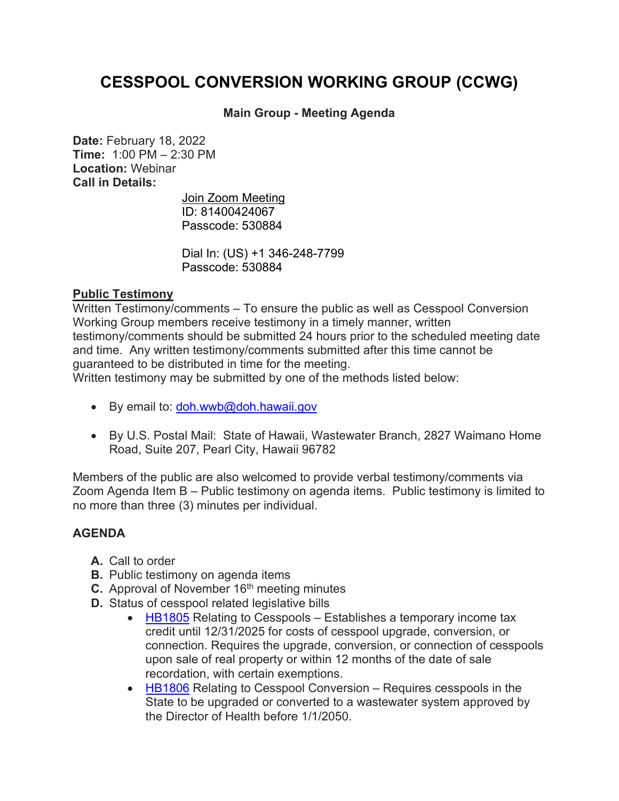## **CESSPOOL CONVERSION WORKING GROUP (CCWG)**

## **Main Group - Meeting Agenda**

**Date:** February 18, 2022 **Time:** 1:00 PM – 2:30 PM **Location:** Webinar **Call in Details:**

> [Join Zoom Meeting](https://www.google.com/url?q=https://us02web.zoom.us/j/81400424067?pwd%3DUDdkbWx4RURwQm1lWk94TUpKUXFEUT09&sa=D&source=calendar&ust=1644445875434910&usg=AOvVaw1CMUgpitJvC5A-1dCOsYVH) ID: 81400424067 Passcode: 530884

Dial In: [\(US\) +1 346-248-7799](tel:+13462487799,,81400424067) Passcode: 530884

## **Public Testimony**

Written Testimony/comments – To ensure the public as well as Cesspool Conversion Working Group members receive testimony in a timely manner, written testimony/comments should be submitted 24 hours prior to the scheduled meeting date and time. Any written testimony/comments submitted after this time cannot be guaranteed to be distributed in time for the meeting.

Written testimony may be submitted by one of the methods listed below:

- By email to: [doh.wwb@doh.hawaii.gov](mailto:doh.wwb@doh.hawaii.gov)
- By U.S. Postal Mail: State of Hawaii, Wastewater Branch, 2827 Waimano Home Road, Suite 207, Pearl City, Hawaii 96782

Members of the public are also welcomed to provide verbal testimony/comments via Zoom Agenda Item B – Public testimony on agenda items. Public testimony is limited to no more than three (3) minutes per individual.

## **AGENDA**

- **A.** Call to order
- **B.** Public testimony on agenda items
- **C.** Approval of November 16<sup>th</sup> meeting minutes
- **D.** Status of cesspool related legislative bills
	- $\bullet$  [HB1805](https://www.capitol.hawaii.gov/measure_indiv.aspx?billtype=HB&billnumber=1805&year=2022) Relating to Cesspools Establishes a temporary income tax credit until 12/31/2025 for costs of cesspool upgrade, conversion, or connection. Requires the upgrade, conversion, or connection of cesspools upon sale of real property or within 12 months of the date of sale recordation, with certain exemptions.
	- [HB1806](https://www.capitol.hawaii.gov/measure_indiv.aspx?billtype=HB&billnumber=1806&year=2022) Relating to Cesspool Conversion Requires cesspools in the State to be upgraded or converted to a wastewater system approved by the Director of Health before 1/1/2050.